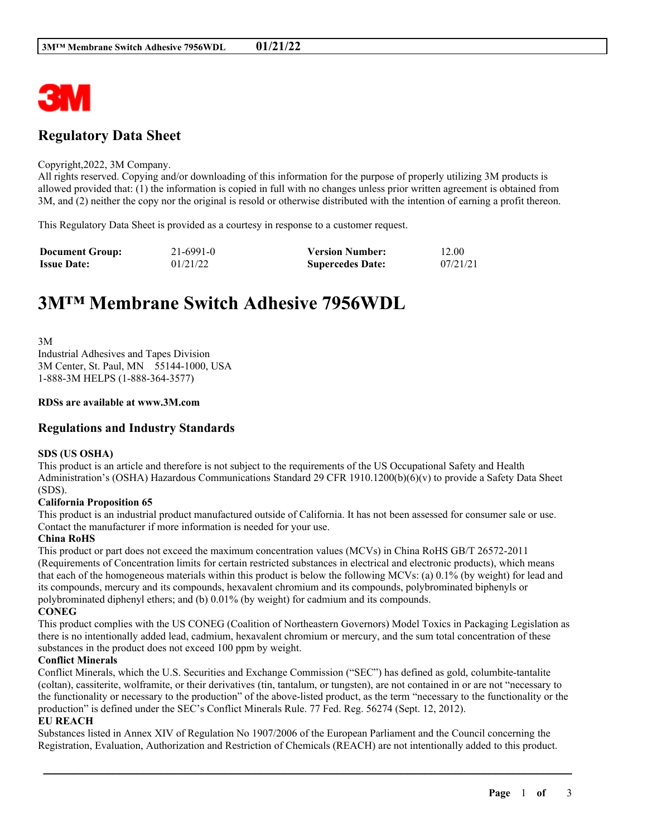

# **Regulatory Data Sheet**

#### Copyright,2022, 3M Company.

All rights reserved. Copying and/or downloading of this information for the purpose of properly utilizing 3M products is allowed provided that: (1) the information is copied in full with no changes unless prior written agreement is obtained from 3M, and (2) neither the copy nor the original is resold or otherwise distributed with the intention of earning a profit thereon.

This Regulatory Data Sheet is provided as a courtesy in response to a customer request.

| <b>Document Group:</b> | $21 - 6991 - 0$ | <b>Version Number:</b>  | 12.00    |
|------------------------|-----------------|-------------------------|----------|
| <b>Issue Date:</b>     | 01/21/22        | <b>Supercedes Date:</b> | 07/21/21 |

# **3M™ Membrane Switch Adhesive 7956WDL**

3M Industrial Adhesives and Tapes Division 3M Center, St. Paul, MN 55144-1000, USA 1-888-3M HELPS (1-888-364-3577)

#### **RDSs are available at www.3M.com**

# **Regulations and Industry Standards**

#### **SDS (US OSHA)**

This product is an article and therefore is not subject to the requirements of the US Occupational Safety and Health Administration's (OSHA) Hazardous Communications Standard 29 CFR 1910.1200(b)(6)(v) to provide a Safety Data Sheet (SDS).

#### **California Proposition 65**

This product is an industrial product manufactured outside of California. It has not been assessed for consumer sale or use. Contact the manufacturer if more information is needed for your use.

#### **China RoHS**

This product or part does not exceed the maximum concentration values (MCVs) in China RoHS GB/T 26572-2011 (Requirements of Concentration limits for certain restricted substances in electrical and electronic products), which means that each of the homogeneous materials within this product is below the following MCVs: (a) 0.1% (by weight) for lead and its compounds, mercury and its compounds, hexavalent chromium and its compounds, polybrominated biphenyls or polybrominated diphenyl ethers; and (b) 0.01% (by weight) for cadmium and its compounds. **CONEG**

This product complies with the US CONEG (Coalition of Northeastern Governors) Model Toxics in Packaging Legislation as there is no intentionally added lead, cadmium, hexavalent chromium or mercury, and the sum total concentration of these substances in the product does not exceed 100 ppm by weight.

#### **Conflict Minerals**

Conflict Minerals, which the U.S. Securities and Exchange Commission ("SEC") has defined as gold, columbite-tantalite (coltan), cassiterite, wolframite, or their derivatives (tin, tantalum, or tungsten), are not contained in or are not "necessary to the functionality or necessary to the production" of the above-listed product, as the term "necessary to the functionality or the production" is defined under the SEC's Conflict Minerals Rule. 77 Fed. Reg. 56274 (Sept. 12, 2012).

#### **EU REACH**

Substances listed in Annex XIV of Regulation No 1907/2006 of the European Parliament and the Council concerning the Registration, Evaluation, Authorization and Restriction of Chemicals (REACH) are not intentionally added to this product.

\_\_\_\_\_\_\_\_\_\_\_\_\_\_\_\_\_\_\_\_\_\_\_\_\_\_\_\_\_\_\_\_\_\_\_\_\_\_\_\_\_\_\_\_\_\_\_\_\_\_\_\_\_\_\_\_\_\_\_\_\_\_\_\_\_\_\_\_\_\_\_\_\_\_\_\_\_\_\_\_\_\_\_\_\_\_\_\_\_\_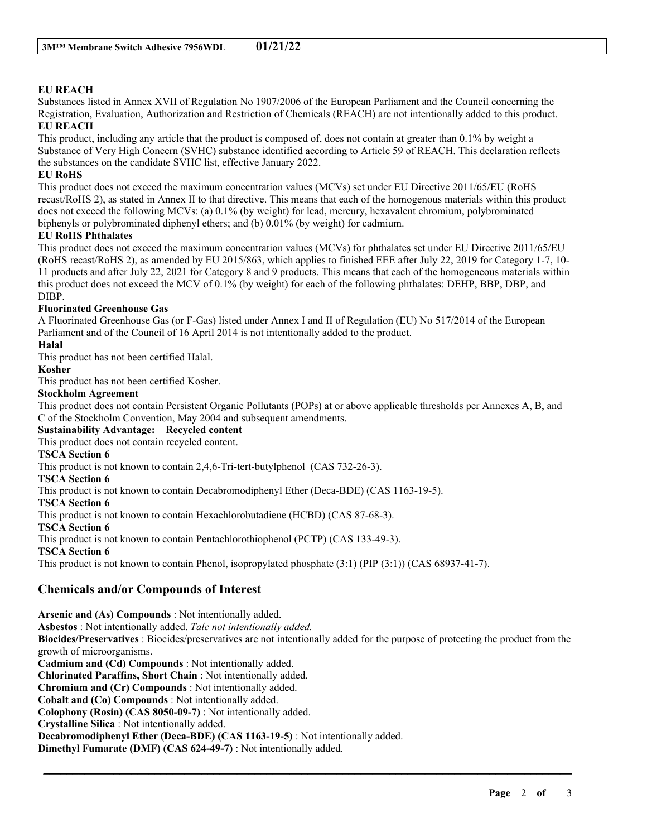# **EU REACH**

Substances listed in Annex XVII of Regulation No 1907/2006 of the European Parliament and the Council concerning the Registration, Evaluation, Authorization and Restriction of Chemicals (REACH) are not intentionally added to this product. **EU REACH**

This product, including any article that the product is composed of, does not contain at greater than 0.1% by weight a Substance of Very High Concern (SVHC) substance identified according to Article 59 of REACH. This declaration reflects the substances on the candidate SVHC list, effective January 2022.

### **EU RoHS**

This product does not exceed the maximum concentration values (MCVs) set under EU Directive 2011/65/EU (RoHS recast/RoHS 2), as stated in Annex II to that directive. This means that each of the homogenous materials within this product does not exceed the following MCVs: (a) 0.1% (by weight) for lead, mercury, hexavalent chromium, polybrominated biphenyls or polybrominated diphenyl ethers; and (b) 0.01% (by weight) for cadmium.

#### **EU RoHS Phthalates**

This product does not exceed the maximum concentration values (MCVs) for phthalates set under EU Directive 2011/65/EU (RoHS recast/RoHS 2), as amended by EU 2015/863, which applies to finished EEE after July 22, 2019 for Category 1-7, 10- 11 products and after July 22, 2021 for Category 8 and 9 products. This means that each of the homogeneous materials within this product does not exceed the MCV of 0.1% (by weight) for each of the following phthalates: DEHP, BBP, DBP, and DIBP.

## **Fluorinated Greenhouse Gas**

A Fluorinated Greenhouse Gas (or F-Gas) listed under Annex I and II of Regulation (EU) No 517/2014 of the European Parliament and of the Council of 16 April 2014 is not intentionally added to the product.

#### **Halal**

This product has not been certified Halal.

#### **Kosher**

This product has not been certified Kosher.

#### **Stockholm Agreement**

This product does not contain Persistent Organic Pollutants (POPs) at or above applicable thresholds per Annexes A, B, and C of the Stockholm Convention, May 2004 and subsequent amendments.

#### **Sustainability Advantage: Recycled content**

This product does not contain recycled content.

#### **TSCA Section 6**

This product is not known to contain 2,4,6-Tri-tert-butylphenol (CAS 732-26-3).

#### **TSCA Section 6**

This product is not known to contain Decabromodiphenyl Ether (Deca-BDE) (CAS 1163-19-5).

#### **TSCA Section 6**

This product is not known to contain Hexachlorobutadiene (HCBD) (CAS 87-68-3).

#### **TSCA Section 6**

This product is not known to contain Pentachlorothiophenol (PCTP) (CAS 133-49-3).

## **TSCA Section 6**

This product is not known to contain Phenol, isopropylated phosphate (3:1) (PIP (3:1)) (CAS 68937-41-7).

# **Chemicals and/or Compounds of Interest**

**Arsenic and (As) Compounds** : Not intentionally added. **Asbestos** : Not intentionally added. *Talc not intentionally added.* **Biocides/Preservatives** : Biocides/preservatives are not intentionally added for the purpose of protecting the product from the growth of microorganisms. **Cadmium and (Cd) Compounds** : Not intentionally added. **Chlorinated Paraffins, Short Chain** : Not intentionally added. **Chromium and (Cr) Compounds** : Not intentionally added. **Cobalt and (Co) Compounds** : Not intentionally added. **Colophony (Rosin) (CAS 8050-09-7)** : Not intentionally added. **Crystalline Silica** : Not intentionally added. **Decabromodiphenyl Ether (Deca-BDE) (CAS 1163-19-5)** : Not intentionally added. **Dimethyl Fumarate (DMF) (CAS 624-49-7)** : Not intentionally added.

\_\_\_\_\_\_\_\_\_\_\_\_\_\_\_\_\_\_\_\_\_\_\_\_\_\_\_\_\_\_\_\_\_\_\_\_\_\_\_\_\_\_\_\_\_\_\_\_\_\_\_\_\_\_\_\_\_\_\_\_\_\_\_\_\_\_\_\_\_\_\_\_\_\_\_\_\_\_\_\_\_\_\_\_\_\_\_\_\_\_